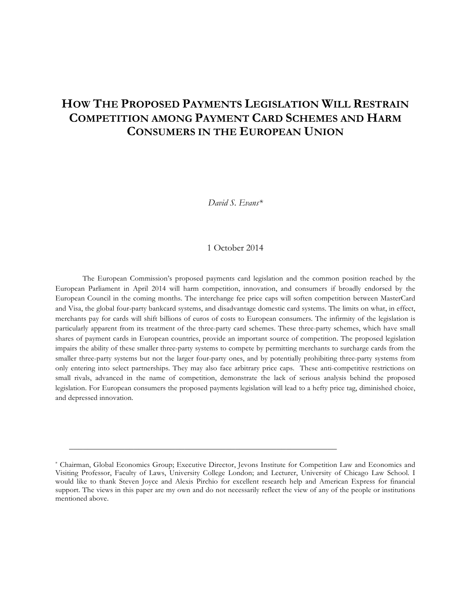# **HOW THE PROPOSED PAYMENTS LEGISLATION WILL RESTRAIN COMPETITION AMONG PAYMENT CARD SCHEMES AND HARM CONSUMERS IN THE EUROPEAN UNION**

*David S. Evans\**

### 1 October 2014

The European Commission's proposed payments card legislation and the common position reached by the European Parliament in April 2014 will harm competition, innovation, and consumers if broadly endorsed by the European Council in the coming months. The interchange fee price caps will soften competition between MasterCard and Visa, the global four-party bankcard systems, and disadvantage domestic card systems. The limits on what, in effect, merchants pay for cards will shift billions of euros of costs to European consumers. The infirmity of the legislation is particularly apparent from its treatment of the three-party card schemes. These three-party schemes, which have small shares of payment cards in European countries, provide an important source of competition. The proposed legislation impairs the ability of these smaller three-party systems to compete by permitting merchants to surcharge cards from the smaller three-party systems but not the larger four-party ones, and by potentially prohibiting three-party systems from only entering into select partnerships. They may also face arbitrary price caps. These anti-competitive restrictions on small rivals, advanced in the name of competition, demonstrate the lack of serious analysis behind the proposed legislation. For European consumers the proposed payments legislation will lead to a hefty price tag, diminished choice, and depressed innovation.

 $\mathcal{L}_\text{max}$  , and the contribution of the contribution of the contribution of the contribution of the contribution of the contribution of the contribution of the contribution of the contribution of the contribution of t

<sup>\*</sup> Chairman, Global Economics Group; Executive Director, Jevons Institute for Competition Law and Economics and Visiting Professor, Faculty of Laws, University College London; and Lecturer, University of Chicago Law School. I would like to thank Steven Joyce and Alexis Pirchio for excellent research help and American Express for financial support. The views in this paper are my own and do not necessarily reflect the view of any of the people or institutions mentioned above.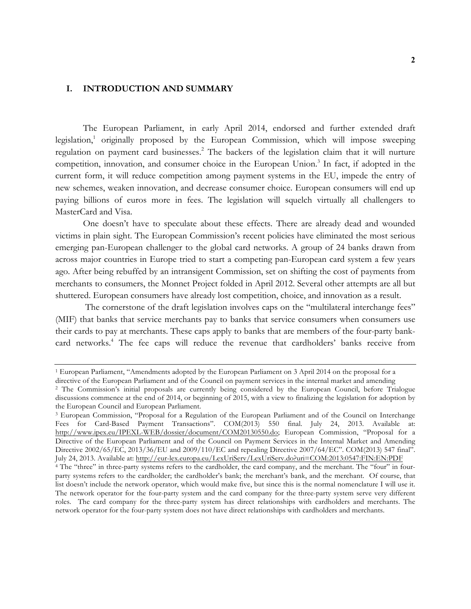# **I. INTRODUCTION AND SUMMARY**

The European Parliament, in early April 2014, endorsed and further extended draft legislation, <sup>1</sup> originally proposed by the European Commission, which will impose sweeping regulation on payment card businesses. <sup>2</sup> The backers of the legislation claim that it will nurture competition, innovation, and consumer choice in the European Union.<sup>3</sup> In fact, if adopted in the current form, it will reduce competition among payment systems in the EU, impede the entry of new schemes, weaken innovation, and decrease consumer choice. European consumers will end up paying billions of euros more in fees. The legislation will squelch virtually all challengers to MasterCard and Visa.

One doesn't have to speculate about these effects. There are already dead and wounded victims in plain sight. The European Commission's recent policies have eliminated the most serious emerging pan-European challenger to the global card networks. A group of 24 banks drawn from across major countries in Europe tried to start a competing pan-European card system a few years ago. After being rebuffed by an intransigent Commission, set on shifting the cost of payments from merchants to consumers, the Monnet Project folded in April 2012. Several other attempts are all but shuttered. European consumers have already lost competition, choice, and innovation as a result.

The cornerstone of the draft legislation involves caps on the "multilateral interchange fees" (MIF) that banks that service merchants pay to banks that service consumers when consumers use their cards to pay at merchants. These caps apply to banks that are members of the four-party bankcard networks.<sup>4</sup> The fee caps will reduce the revenue that cardholders' banks receive from

<sup>&</sup>lt;sup>1</sup> European Parliament, "Amendments adopted by the European Parliament on 3 April 2014 on the proposal for a directive of the European Parliament and of the Council on payment services in the internal market and amending

<sup>&</sup>lt;sup>2</sup> The Commission's initial proposals are currently being considered by the European Council, before Trialogue discussions commence at the end of 2014, or beginning of 2015, with a view to finalizing the legislation for adoption by the European Council and European Parliament.

<sup>3</sup> European Commission, "Proposal for a Regulation of the European Parliament and of the Council on Interchange Fees for Card-Based Payment Transactions". COM(2013) 550 final. July 24, 2013. Available at: http://www.ipex.eu/IPEXL-WEB/dossier/document/COM20130550.do; European Commission, "Proposal for a Directive of the European Parliament and of the Council on Payment Services in the Internal Market and Amending Directive 2002/65/EC, 2013/36/EU and 2009/110/EC and repealing Directive 2007/64/EC". COM(2013) 547 final". July 24, 2013. Available at: http://eur-lex.europa.eu/LexUriServ/LexUriServ.do?uri=COM:2013:0547:FIN:EN:PDF

<sup>&</sup>lt;sup>4</sup> The "three" in three-party systems refers to the cardholder, the card company, and the merchant. The "four" in fourparty systems refers to the cardholder; the cardholder's bank; the merchant's bank, and the merchant. Of course, that list doesn't include the network operator, which would make five, but since this is the normal nomenclature I will use it. The network operator for the four-party system and the card company for the three-party system serve very different roles. The card company for the three-party system has direct relationships with cardholders and merchants. The network operator for the four-party system does not have direct relationships with cardholders and merchants.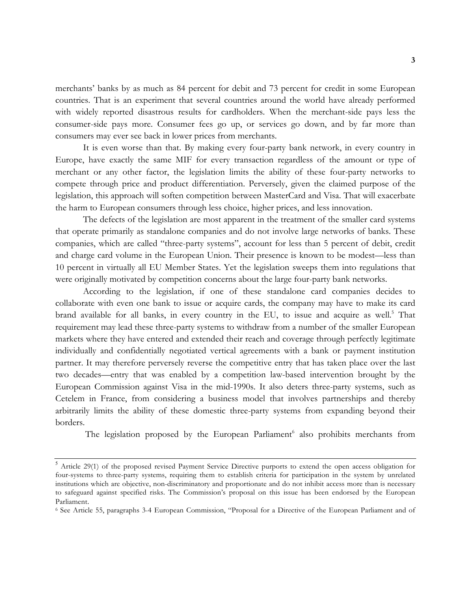merchants' banks by as much as 84 percent for debit and 73 percent for credit in some European countries. That is an experiment that several countries around the world have already performed with widely reported disastrous results for cardholders. When the merchant-side pays less the consumer-side pays more. Consumer fees go up, or services go down, and by far more than consumers may ever see back in lower prices from merchants.

It is even worse than that. By making every four-party bank network, in every country in Europe, have exactly the same MIF for every transaction regardless of the amount or type of merchant or any other factor, the legislation limits the ability of these four-party networks to compete through price and product differentiation. Perversely, given the claimed purpose of the legislation, this approach will soften competition between MasterCard and Visa. That will exacerbate the harm to European consumers through less choice, higher prices, and less innovation.

The defects of the legislation are most apparent in the treatment of the smaller card systems that operate primarily as standalone companies and do not involve large networks of banks. These companies, which are called "three-party systems", account for less than 5 percent of debit, credit and charge card volume in the European Union. Their presence is known to be modest—less than 10 percent in virtually all EU Member States. Yet the legislation sweeps them into regulations that were originally motivated by competition concerns about the large four-party bank networks.

According to the legislation, if one of these standalone card companies decides to collaborate with even one bank to issue or acquire cards, the company may have to make its card brand available for all banks, in every country in the EU, to issue and acquire as well.<sup>5</sup> That requirement may lead these three-party systems to withdraw from a number of the smaller European markets where they have entered and extended their reach and coverage through perfectly legitimate individually and confidentially negotiated vertical agreements with a bank or payment institution partner. It may therefore perversely reverse the competitive entry that has taken place over the last two decades—entry that was enabled by a competition law-based intervention brought by the European Commission against Visa in the mid-1990s. It also deters three-party systems, such as Cetelem in France, from considering a business model that involves partnerships and thereby arbitrarily limits the ability of these domestic three-party systems from expanding beyond their borders.

The legislation proposed by the European Parliament<sup>6</sup> also prohibits merchants from

<sup>5</sup> Article 29(1) of the proposed revised Payment Service Directive purports to extend the open access obligation for four-systems to three-party systems, requiring them to establish criteria for participation in the system by unrelated institutions which are objective, non-discriminatory and proportionate and do not inhibit access more than is necessary to safeguard against specified risks. The Commission's proposal on this issue has been endorsed by the European Parliament.

<sup>6</sup> See Article 55, paragraphs 3-4 European Commission, "Proposal for a Directive of the European Parliament and of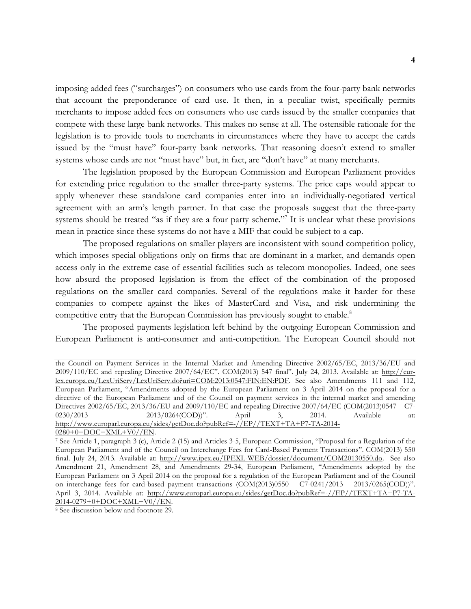imposing added fees ("surcharges") on consumers who use cards from the four-party bank networks that account the preponderance of card use. It then, in a peculiar twist, specifically permits merchants to impose added fees on consumers who use cards issued by the smaller companies that compete with these large bank networks. This makes no sense at all. The ostensible rationale for the legislation is to provide tools to merchants in circumstances where they have to accept the cards issued by the "must have" four-party bank networks. That reasoning doesn't extend to smaller systems whose cards are not "must have" but, in fact, are "don't have" at many merchants.

The legislation proposed by the European Commission and European Parliament provides for extending price regulation to the smaller three-party systems. The price caps would appear to apply whenever these standalone card companies enter into an individually-negotiated vertical agreement with an arm's length partner. In that case the proposals suggest that the three-party systems should be treated "as if they are a four party scheme."<sup>7</sup> It is unclear what these provisions mean in practice since these systems do not have a MIF that could be subject to a cap.

The proposed regulations on smaller players are inconsistent with sound competition policy, which imposes special obligations only on firms that are dominant in a market, and demands open access only in the extreme case of essential facilities such as telecom monopolies. Indeed, one sees how absurd the proposed legislation is from the effect of the combination of the proposed regulations on the smaller card companies. Several of the regulations make it harder for these companies to compete against the likes of MasterCard and Visa, and risk undermining the competitive entry that the European Commission has previously sought to enable.<sup>8</sup>

The proposed payments legislation left behind by the outgoing European Commission and European Parliament is anti-consumer and anti-competition. The European Council should not

the Council on Payment Services in the Internal Market and Amending Directive 2002/65/EC, 2013/36/EU and 2009/110/EC and repealing Directive 2007/64/EC". COM(2013) 547 final". July 24, 2013. Available at: http://eurlex.europa.eu/LexUriServ/LexUriServ.do?uri=COM:2013:0547:FIN:EN:PDF. See also Amendments 111 and 112, European Parliament, "Amendments adopted by the European Parliament on 3 April 2014 on the proposal for a directive of the European Parliament and of the Council on payment services in the internal market and amending Directives 2002/65/EC, 2013/36/EU and 2009/110/EC and repealing Directive 2007/64/EC (COM(2013)0547 – C7- 0230/2013 – 2013/0264(COD))". April 3, 2014. Available at: http://www.europarl.europa.eu/sides/getDoc.do?pubRef=-//EP//TEXT+TA+P7-TA-2014- 0280+0+DOC+XML+V0//EN.

<sup>7</sup> See Article 1, paragraph 3 (c), Article 2 (15) and Articles 3-5, European Commission, "Proposal for a Regulation of the European Parliament and of the Council on Interchange Fees for Card-Based Payment Transactions". COM(2013) 550 final. July 24, 2013. Available at: http://www.ipex.eu/IPEXL-WEB/dossier/document/COM20130550.do. See also Amendment 21, Amendment 28, and Amendments 29-34, European Parliament, "Amendments adopted by the European Parliament on 3 April 2014 on the proposal for a regulation of the European Parliament and of the Council on interchange fees for card-based payment transactions (COM(2013)0550 – C7-0241/2013 – 2013/0265(COD))". April 3, 2014. Available at: http://www.europarl.europa.eu/sides/getDoc.do?pubRef=-//EP//TEXT+TA+P7-TA-2014-0279+0+DOC+XML+V0//EN.

<sup>8</sup> See discussion below and footnote 29.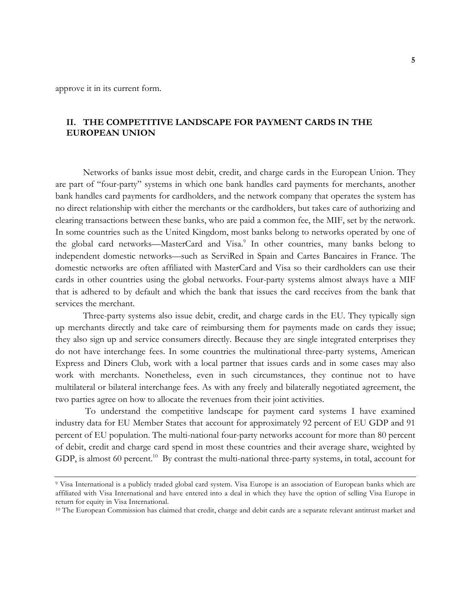approve it in its current form.

# **II. THE COMPETITIVE LANDSCAPE FOR PAYMENT CARDS IN THE EUROPEAN UNION**

Networks of banks issue most debit, credit, and charge cards in the European Union. They are part of "four-party" systems in which one bank handles card payments for merchants, another bank handles card payments for cardholders, and the network company that operates the system has no direct relationship with either the merchants or the cardholders, but takes care of authorizing and clearing transactions between these banks, who are paid a common fee, the MIF, set by the network. In some countries such as the United Kingdom, most banks belong to networks operated by one of the global card networks—MasterCard and Visa.<sup>9</sup> In other countries, many banks belong to independent domestic networks—such as ServiRed in Spain and Cartes Bancaires in France. The domestic networks are often affiliated with MasterCard and Visa so their cardholders can use their cards in other countries using the global networks. Four-party systems almost always have a MIF that is adhered to by default and which the bank that issues the card receives from the bank that services the merchant.

Three-party systems also issue debit, credit, and charge cards in the EU. They typically sign up merchants directly and take care of reimbursing them for payments made on cards they issue; they also sign up and service consumers directly. Because they are single integrated enterprises they do not have interchange fees. In some countries the multinational three-party systems, American Express and Diners Club, work with a local partner that issues cards and in some cases may also work with merchants. Nonetheless, even in such circumstances, they continue not to have multilateral or bilateral interchange fees. As with any freely and bilaterally negotiated agreement, the two parties agree on how to allocate the revenues from their joint activities.

To understand the competitive landscape for payment card systems I have examined industry data for EU Member States that account for approximately 92 percent of EU GDP and 91 percent of EU population. The multi-national four-party networks account for more than 80 percent of debit, credit and charge card spend in most these countries and their average share, weighted by GDP, is almost 60 percent.<sup>10</sup> By contrast the multi-national three-party systems, in total, account for

<sup>9</sup> Visa International is a publicly traded global card system. Visa Europe is an association of European banks which are affiliated with Visa International and have entered into a deal in which they have the option of selling Visa Europe in return for equity in Visa International.

<sup>&</sup>lt;sup>10</sup> The European Commission has claimed that credit, charge and debit cards are a separate relevant antitrust market and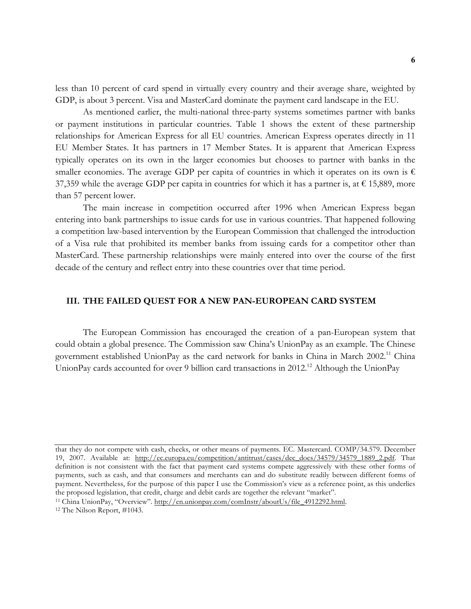less than 10 percent of card spend in virtually every country and their average share, weighted by GDP, is about 3 percent. Visa and MasterCard dominate the payment card landscape in the EU.

As mentioned earlier, the multi-national three-party systems sometimes partner with banks or payment institutions in particular countries. Table 1 shows the extent of these partnership relationships for American Express for all EU countries. American Express operates directly in 11 EU Member States. It has partners in 17 Member States. It is apparent that American Express typically operates on its own in the larger economies but chooses to partner with banks in the smaller economies. The average GDP per capita of countries in which it operates on its own is  $\epsilon$ 37,359 while the average GDP per capita in countries for which it has a partner is, at  $\epsilon$  15,889, more than 57 percent lower.

The main increase in competition occurred after 1996 when American Express began entering into bank partnerships to issue cards for use in various countries. That happened following a competition law-based intervention by the European Commission that challenged the introduction of a Visa rule that prohibited its member banks from issuing cards for a competitor other than MasterCard. These partnership relationships were mainly entered into over the course of the first decade of the century and reflect entry into these countries over that time period.

## **III. THE FAILED QUEST FOR A NEW PAN-EUROPEAN CARD SYSTEM**

The European Commission has encouraged the creation of a pan-European system that could obtain a global presence. The Commission saw China's UnionPay as an example. The Chinese government established UnionPay as the card network for banks in China in March 2002.<sup>11</sup> China UnionPay cards accounted for over 9 billion card transactions in 2012.<sup>12</sup> Although the UnionPay

that they do not compete with cash, checks, or other means of payments. EC. Mastercard. COMP/34.579. December 19, 2007. Available at: http://ec.europa.eu/competition/antitrust/cases/dec\_docs/34579/34579\_1889\_2.pdf. That definition is not consistent with the fact that payment card systems compete aggressively with these other forms of payments, such as cash, and that consumers and merchants can and do substitute readily between different forms of payment. Nevertheless, for the purpose of this paper I use the Commission's view as a reference point, as this underlies the proposed legislation, that credit, charge and debit cards are together the relevant "market". <sup>11</sup> China UnionPay, "Overview". http://en.unionpay.com/comInstr/aboutUs/file\_4912292.html.

<sup>12</sup> The Nilson Report, #1043.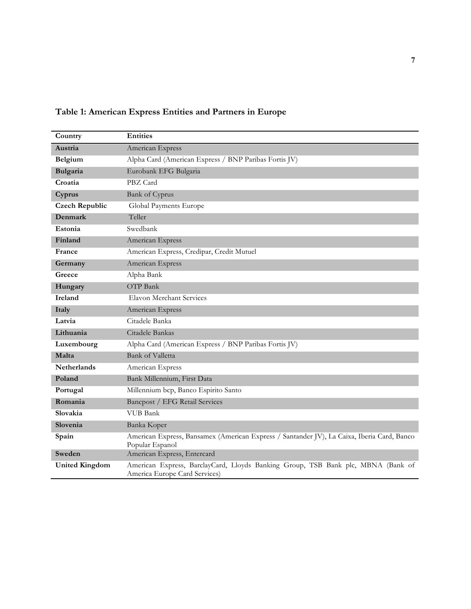| Country               | <b>Entities</b>                                                                                                   |
|-----------------------|-------------------------------------------------------------------------------------------------------------------|
| Austria               | American Express                                                                                                  |
| Belgium               | Alpha Card (American Express / BNP Paribas Fortis JV)                                                             |
| Bulgaria              | Eurobank EFG Bulgaria                                                                                             |
| Croatia               | PBZ Card                                                                                                          |
| Cyprus                | <b>Bank of Cyprus</b>                                                                                             |
| <b>Czech Republic</b> | Global Payments Europe                                                                                            |
| Denmark               | Teller                                                                                                            |
| Estonia               | Swedbank                                                                                                          |
| Finland               | American Express                                                                                                  |
| France                | American Express, Credipar, Credit Mutuel                                                                         |
| Germany               | American Express                                                                                                  |
| Greece                | Alpha Bank                                                                                                        |
| Hungary               | OTP Bank                                                                                                          |
| <b>Ireland</b>        | Elavon Merchant Services                                                                                          |
| Italy                 | American Express                                                                                                  |
| Latvia                | Citadele Banka                                                                                                    |
| Lithuania             | Citadele Bankas                                                                                                   |
| Luxembourg            | Alpha Card (American Express / BNP Paribas Fortis JV)                                                             |
| Malta                 | Bank of Valletta                                                                                                  |
| <b>Netherlands</b>    | American Express                                                                                                  |
| Poland                | Bank Millennium, First Data                                                                                       |
| Portugal              | Millennium bcp, Banco Espirito Santo                                                                              |
| Romania               | Bancpost / EFG Retail Services                                                                                    |
| Slovakia              | <b>VUB</b> Bank                                                                                                   |
| Slovenia              | Banka Koper                                                                                                       |
| Spain                 | American Express, Bansamex (American Express / Santander JV), La Caixa, Iberia Card, Banco<br>Popular Espanol     |
| Sweden                | American Express, Entercard                                                                                       |
| <b>United Kingdom</b> | American Express, BarclayCard, Lloyds Banking Group, TSB Bank plc, MBNA (Bank of<br>America Europe Card Services) |

# **Table 1: American Express Entities and Partners in Europe**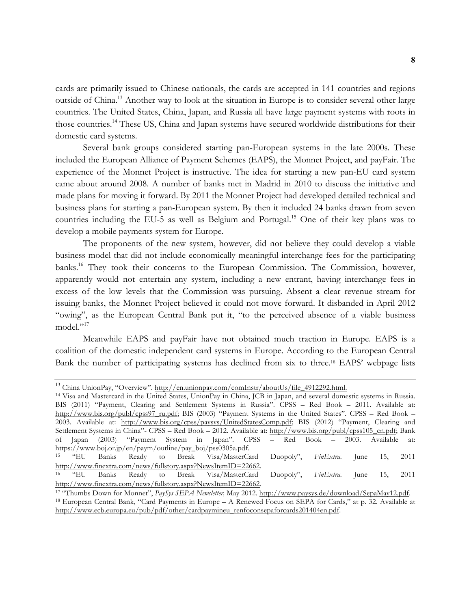cards are primarily issued to Chinese nationals, the cards are accepted in 141 countries and regions outside of China.<sup>13</sup> Another way to look at the situation in Europe is to consider several other large countries. The United States, China, Japan, and Russia all have large payment systems with roots in those countries.<sup>14</sup> These US, China and Japan systems have secured worldwide distributions for their domestic card systems.

Several bank groups considered starting pan-European systems in the late 2000s. These included the European Alliance of Payment Schemes (EAPS), the Monnet Project, and payFair. The experience of the Monnet Project is instructive. The idea for starting a new pan-EU card system came about around 2008. A number of banks met in Madrid in 2010 to discuss the initiative and made plans for moving it forward. By 2011 the Monnet Project had developed detailed technical and business plans for starting a pan-European system. By then it included 24 banks drawn from seven countries including the EU-5 as well as Belgium and Portugal.<sup>15</sup> One of their key plans was to develop a mobile payments system for Europe.

The proponents of the new system, however, did not believe they could develop a viable business model that did not include economically meaningful interchange fees for the participating banks. <sup>16</sup> They took their concerns to the European Commission. The Commission, however, apparently would not entertain any system, including a new entrant, having interchange fees in excess of the low levels that the Commission was pursuing. Absent a clear revenue stream for issuing banks, the Monnet Project believed it could not move forward. It disbanded in April 2012 "owing", as the European Central Bank put it, "to the perceived absence of a viable business model."<sup>17</sup>

Meanwhile EAPS and payFair have not obtained much traction in Europe. EAPS is a coalition of the domestic independent card systems in Europe. According to the European Central Bank the number of participating systems has declined from six to three.18 EAPS' webpage lists

<sup>13</sup> China UnionPay, "Overview". http://en.unionpay.com/comInstr/aboutUs/file\_4912292.html.<br><sup>14</sup> Visa and Mastercard in the United States, UnionPay in China, JCB in Japan, and several domestic systems in Russia. BIS (2011) "Payment, Clearing and Settlement Systems in Russia". CPSS – Red Book – 2011. Available at: http://www.bis.org/publ/cpss97\_ru.pdf; BIS (2003) "Payment Systems in the United States". CPSS – Red Book – 2003. Available at: http://www.bis.org/cpss/paysys/UnitedStatesComp.pdf; BIS (2012) "Payment, Clearing and Settlement Systems in China"- CPSS – Red Book – 2012. Available at: http://www.bis.org/publ/cpss105\_cn.pdf; Bank<br>of Japan (2003) "Payment System in Japan". CPSS – Red Book – 2003. Available at: of Japan (2003) "Payment System in Japan". CPSS – Red Book – 2003. Available at: https://www.boj.or.jp/en/paym/outline/pay\_boj/pss0305a.pdf. <sup>15</sup> "EU Banks Ready to Break Visa/MasterCard Duopoly", *FinExtra.* June 15, 2011 http://www.finextra.com/news/fullstory.aspx?NewsItemID=22662. <sup>16</sup> "EU Banks Ready to Break Visa/MasterCard Duopoly", *FinExtra.* June 15, 2011 http://www.finextra.com/news/fullstory.aspx?NewsItemID=22662.

<sup>17</sup> "Thumbs Down for Monnet", *PaySys SEPA Newsletter,* May 2012. http://www.paysys.de/download/SepaMay12.pdf. <sup>18</sup> European Central Bank, "Card Payments in Europe – A Renewed Focus on SEPA for Cards," at p. 32. Available at http://www.ecb.europa.eu/pub/pdf/other/cardpaymineu\_renfoconsepaforcards201404en.pdf.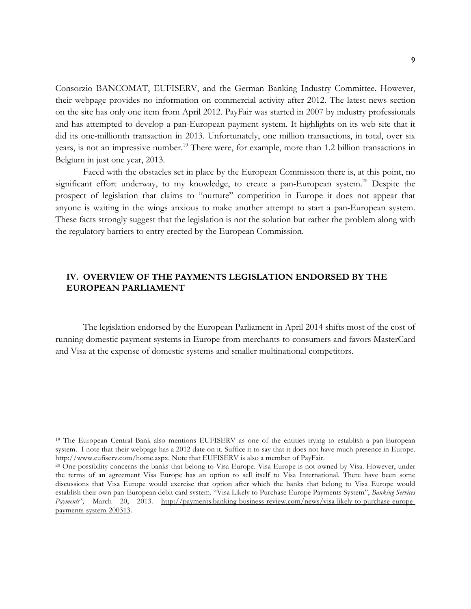Consorzio BANCOMAT, EUFISERV, and the German Banking Industry Committee. However, their webpage provides no information on commercial activity after 2012. The latest news section on the site has only one item from April 2012. PayFair was started in 2007 by industry professionals and has attempted to develop a pan-European payment system. It highlights on its web site that it did its one-millionth transaction in 2013. Unfortunately, one million transactions, in total, over six years, is not an impressive number. <sup>19</sup> There were, for example, more than 1.2 billion transactions in Belgium in just one year, 2013.

Faced with the obstacles set in place by the European Commission there is, at this point, no significant effort underway, to my knowledge, to create a pan-European system.<sup>20</sup> Despite the prospect of legislation that claims to "nurture" competition in Europe it does not appear that anyone is waiting in the wings anxious to make another attempt to start a pan-European system. These facts strongly suggest that the legislation is not the solution but rather the problem along with the regulatory barriers to entry erected by the European Commission.

# **IV. OVERVIEW OF THE PAYMENTS LEGISLATION ENDORSED BY THE EUROPEAN PARLIAMENT**

The legislation endorsed by the European Parliament in April 2014 shifts most of the cost of running domestic payment systems in Europe from merchants to consumers and favors MasterCard and Visa at the expense of domestic systems and smaller multinational competitors.

<sup>19</sup> The European Central Bank also mentions EUFISERV as one of the entities trying to establish a pan-European system. I note that their webpage has a 2012 date on it. Suffice it to say that it does not have much presence in Europe. http://www.eufiserv.com/home.aspx. Note that EUFISERV is also a member of PayFair.<br><sup>20</sup> One possibility concerns the banks that belong to Visa Europe. Visa Europe is not owned by Visa. However, under

the terms of an agreement Visa Europe has an option to sell itself to Visa International. There have been some discussions that Visa Europe would exercise that option after which the banks that belong to Visa Europe would establish their own pan-European debit card system. "Visa Likely to Purchase Europe Payments System", *Banking Services Payments",* March 20, 2013. http://payments.banking-business-review.com/news/visa-likely-to-purchase-europepayments-system-200313.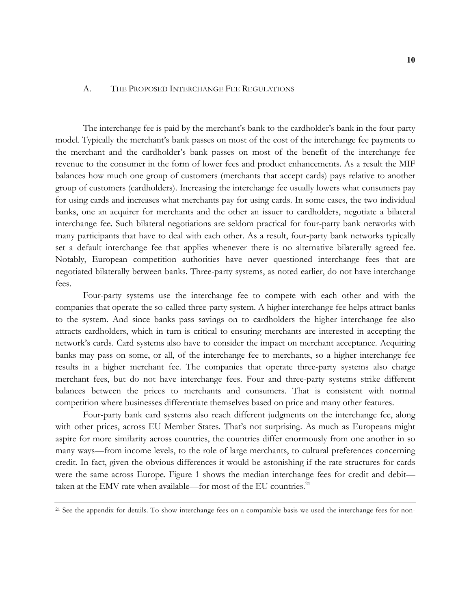### A. THE PROPOSED INTERCHANGE FEE REGULATIONS

The interchange fee is paid by the merchant's bank to the cardholder's bank in the four-party model. Typically the merchant's bank passes on most of the cost of the interchange fee payments to the merchant and the cardholder's bank passes on most of the benefit of the interchange fee revenue to the consumer in the form of lower fees and product enhancements. As a result the MIF balances how much one group of customers (merchants that accept cards) pays relative to another group of customers (cardholders). Increasing the interchange fee usually lowers what consumers pay for using cards and increases what merchants pay for using cards. In some cases, the two individual banks, one an acquirer for merchants and the other an issuer to cardholders, negotiate a bilateral interchange fee. Such bilateral negotiations are seldom practical for four-party bank networks with many participants that have to deal with each other. As a result, four-party bank networks typically set a default interchange fee that applies whenever there is no alternative bilaterally agreed fee. Notably, European competition authorities have never questioned interchange fees that are negotiated bilaterally between banks. Three-party systems, as noted earlier, do not have interchange fees.

Four-party systems use the interchange fee to compete with each other and with the companies that operate the so-called three-party system. A higher interchange fee helps attract banks to the system. And since banks pass savings on to cardholders the higher interchange fee also attracts cardholders, which in turn is critical to ensuring merchants are interested in accepting the network's cards. Card systems also have to consider the impact on merchant acceptance. Acquiring banks may pass on some, or all, of the interchange fee to merchants, so a higher interchange fee results in a higher merchant fee. The companies that operate three-party systems also charge merchant fees, but do not have interchange fees. Four and three-party systems strike different balances between the prices to merchants and consumers. That is consistent with normal competition where businesses differentiate themselves based on price and many other features.

Four-party bank card systems also reach different judgments on the interchange fee, along with other prices, across EU Member States. That's not surprising. As much as Europeans might aspire for more similarity across countries, the countries differ enormously from one another in so many ways—from income levels, to the role of large merchants, to cultural preferences concerning credit. In fact, given the obvious differences it would be astonishing if the rate structures for cards were the same across Europe. Figure 1 shows the median interchange fees for credit and debit taken at the EMV rate when available—for most of the EU countries.<sup>21</sup>

<sup>&</sup>lt;sup>21</sup> See the appendix for details. To show interchange fees on a comparable basis we used the interchange fees for non-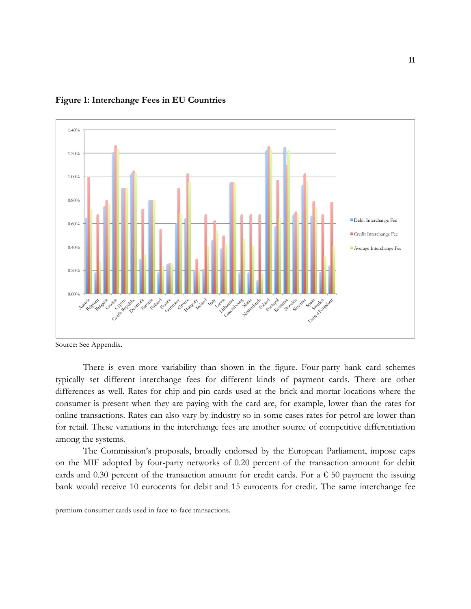

## **Figure 1: Interchange Fees in EU Countries**

Source: See Appendix.

There is even more variability than shown in the figure. Four-party bank card schemes typically set different interchange fees for different kinds of payment cards. There are other differences as well. Rates for chip-and-pin cards used at the brick-and-mortar locations where the consumer is present when they are paying with the card are, for example, lower than the rates for online transactions. Rates can also vary by industry so in some cases rates for petrol are lower than for retail. These variations in the interchange fees are another source of competitive differentiation among the systems.

The Commission's proposals, broadly endorsed by the European Parliament, impose caps on the MIF adopted by four-party networks of 0.20 percent of the transaction amount for debit cards and 0.30 percent of the transaction amount for credit cards. For a  $\epsilon$  50 payment the issuing bank would receive 10 eurocents for debit and 15 eurocents for credit. The same interchange fee

premium consumer cards used in face-to-face transactions.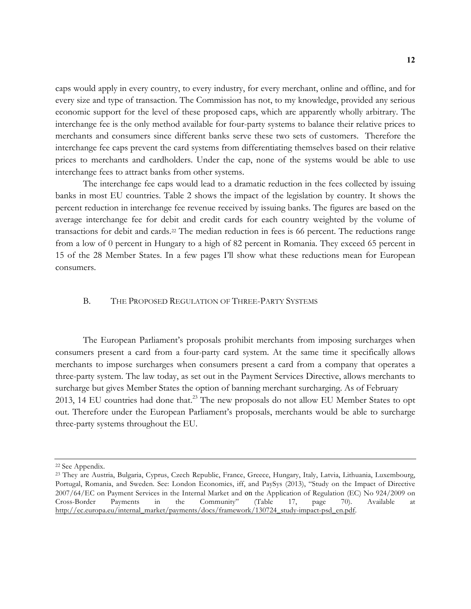caps would apply in every country, to every industry, for every merchant, online and offline, and for every size and type of transaction. The Commission has not, to my knowledge, provided any serious economic support for the level of these proposed caps, which are apparently wholly arbitrary. The interchange fee is the only method available for four-party systems to balance their relative prices to merchants and consumers since different banks serve these two sets of customers. Therefore the interchange fee caps prevent the card systems from differentiating themselves based on their relative prices to merchants and cardholders. Under the cap, none of the systems would be able to use interchange fees to attract banks from other systems.

The interchange fee caps would lead to a dramatic reduction in the fees collected by issuing banks in most EU countries. Table 2 shows the impact of the legislation by country. It shows the percent reduction in interchange fee revenue received by issuing banks. The figures are based on the average interchange fee for debit and credit cards for each country weighted by the volume of transactions for debit and cards.22 The median reduction in fees is 66 percent. The reductions range from a low of 0 percent in Hungary to a high of 82 percent in Romania. They exceed 65 percent in 15 of the 28 Member States. In a few pages I'll show what these reductions mean for European consumers.

# B. THE PROPOSED REGULATION OF THREE-PARTY SYSTEMS

The European Parliament's proposals prohibit merchants from imposing surcharges when consumers present a card from a four-party card system. At the same time it specifically allows merchants to impose surcharges when consumers present a card from a company that operates a three-party system. The law today, as set out in the Payment Services Directive, allows merchants to surcharge but gives Member States the option of banning merchant surcharging. As of February 2013, 14 EU countries had done that.<sup>23</sup> The new proposals do not allow EU Member States to opt out. Therefore under the European Parliament's proposals, merchants would be able to surcharge three-party systems throughout the EU.

<sup>22</sup> See Appendix.

<sup>23</sup> They are Austria, Bulgaria, Cyprus, Czech Republic, France, Greece, Hungary, Italy, Latvia, Lithuania, Luxembourg, Portugal, Romania, and Sweden. See: London Economics, iff, and PaySys (2013), "Study on the Impact of Directive 2007/64/EC on Payment Services in the Internal Market and on the Application of Regulation (EC) No 924/2009 on Cross-Border Payments in the Community" (Table 17, page 70). Available at http://ec.europa.eu/internal\_market/payments/docs/framework/130724\_study-impact-psd\_en.pdf.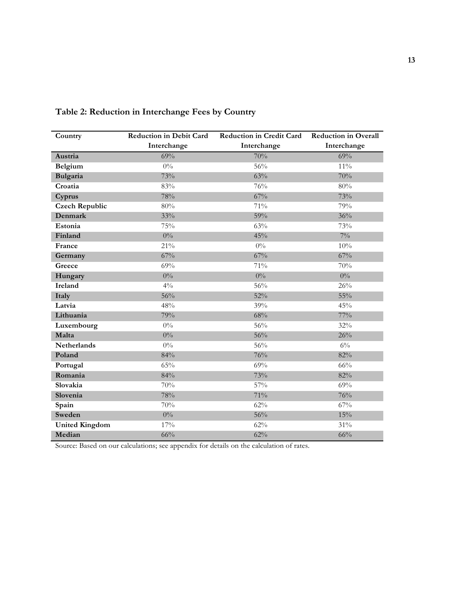| Country               | Reduction in Debit Card | <b>Reduction in Credit Card</b> | <b>Reduction in Overall</b> |
|-----------------------|-------------------------|---------------------------------|-----------------------------|
|                       | Interchange             | Interchange                     | Interchange                 |
| Austria               | 69%                     | 70%                             | 69%                         |
| Belgium               | $0\%$                   | 56%                             | $11\%$                      |
| Bulgaria              | 73%                     | 63%                             | 70%                         |
| Croatia               | 83%                     | 76%                             | 80%                         |
| Cyprus                | 78%                     | 67%                             | 73%                         |
| <b>Czech Republic</b> | 80%                     | 71%                             | 79%                         |
| Denmark               | 33%                     | 59%                             | 36%                         |
| Estonia               | 75%                     | 63%                             | 73%                         |
| Finland               | $0\%$                   | 45%                             | $7\%$                       |
| France                | 21%                     | $0\%$                           | 10%                         |
| Germany               | 67%                     | 67%                             | 67%                         |
| Greece                | 69%                     | 71%                             | 70%                         |
| Hungary               | $0\%$                   | $0\%$                           | $0\%$                       |
| <b>Ireland</b>        | $4\%$                   | 56%                             | 26%                         |
| Italy                 | 56%                     | 52%                             | 55%                         |
| Latvia                | 48%                     | 39%                             | 45%                         |
| Lithuania             | 79%                     | 68%                             | 77%                         |
| Luxembourg            | $0\%$                   | 56%                             | 32%                         |
| Malta                 | $0\%$                   | 56%                             | 26%                         |
| <b>Netherlands</b>    | $0\%$                   | 56%                             | $6\%$                       |
| Poland                | 84%                     | 76%                             | 82%                         |
| Portugal              | 65%                     | 69%                             | 66%                         |
| Romania               | 84%                     | 73%                             | 82%                         |
| Slovakia              | 70%                     | 57%                             | 69%                         |
| Slovenia              | 78%                     | 71%                             | 76%                         |
| Spain                 | 70%                     | 62%                             | 67%                         |
| Sweden                | $0\%$                   | 56%                             | 15%                         |
| <b>United Kingdom</b> | 17%                     | 62%                             | 31%                         |
| Median                | 66%                     | 62%                             | 66%                         |

**Table 2: Reduction in Interchange Fees by Country** 

Source: Based on our calculations; see appendix for details on the calculation of rates.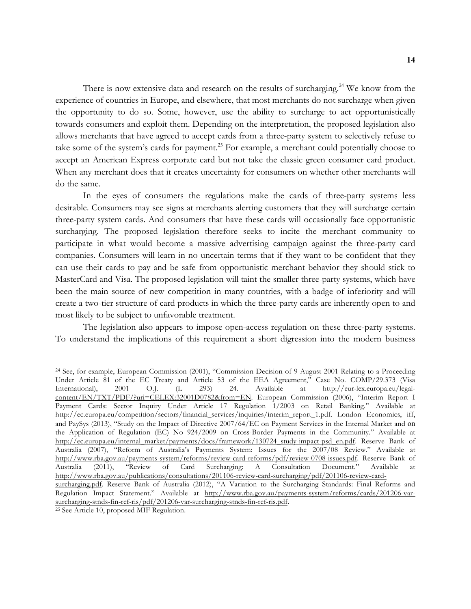There is now extensive data and research on the results of surcharging.<sup>24</sup> We know from the experience of countries in Europe, and elsewhere, that most merchants do not surcharge when given the opportunity to do so. Some, however, use the ability to surcharge to act opportunistically towards consumers and exploit them. Depending on the interpretation, the proposed legislation also allows merchants that have agreed to accept cards from a three-party system to selectively refuse to take some of the system's cards for payment.<sup>25</sup> For example, a merchant could potentially choose to accept an American Express corporate card but not take the classic green consumer card product. When any merchant does that it creates uncertainty for consumers on whether other merchants will do the same.

In the eyes of consumers the regulations make the cards of three-party systems less desirable. Consumers may see signs at merchants alerting customers that they will surcharge certain three-party system cards. And consumers that have these cards will occasionally face opportunistic surcharging. The proposed legislation therefore seeks to incite the merchant community to participate in what would become a massive advertising campaign against the three-party card companies. Consumers will learn in no uncertain terms that if they want to be confident that they can use their cards to pay and be safe from opportunistic merchant behavior they should stick to MasterCard and Visa. The proposed legislation will taint the smaller three-party systems, which have been the main source of new competition in many countries, with a badge of inferiority and will create a two-tier structure of card products in which the three-party cards are inherently open to and most likely to be subject to unfavorable treatment.

The legislation also appears to impose open-access regulation on these three-party systems. To understand the implications of this requirement a short digression into the modern business

<sup>24</sup> See, for example, European Commission (2001), "Commission Decision of 9 August 2001 Relating to a Proceeding Under Article 81 of the EC Treaty and Article 53 of the EEA Agreement," Case No. COMP/29.373 (Visa<br>International), 2001 O.J. (L 293) 24. Available at http://eur-lex.europa.eu/legal-International), 2001 O.J. (L 293) 24. Available at http://eur-lex.europa.eu/legalcontent/EN/TXT/PDF/?uri=CELEX:32001D0782&from=EN. European Commission (2006), "Interim Report I Payment Cards: Sector Inquiry Under Article 17 Regulation 1/2003 on Retail Banking." Available at http://ec.europa.eu/competition/sectors/financial\_services/inquiries/interim\_report\_1.pdf. London Economics, iff, and PaySys (2013), "Study on the Impact of Directive 2007/64/EC on Payment Services in the Internal Market and on the Application of Regulation (EC) No 924/2009 on Cross-Border Payments in the Community." Available at http://ec.europa.eu/internal\_market/payments/docs/framework/130724\_study-impact-psd\_en.pdf. Reserve Bank of Australia (2007), "Reform of Australia's Payments System: Issues for the 2007/08 Review." Available at http://www.rba.gov.au/payments-system/reforms/review-card-reforms/pdf/review-0708-issues.pdf. Reserve Bank of Australia (2011), "Review of Card Surcharging: A Consultation Document." Available at http://www.rba.gov.au/publications/consultations/201106-review-card-surcharging/pdf/201106-review-cardsurcharging.pdf. Reserve Bank of Australia (2012), "A Variation to the Surcharging Standards: Final Reforms and Regulation Impact Statement." Available at http://www.rba.gov.au/payments-system/reforms/cards/201206-varsurcharging-stnds-fin-ref-ris/pdf/201206-var-surcharging-stnds-fin-ref-ris.pdf. 25 See Article 10, proposed MIF Regulation.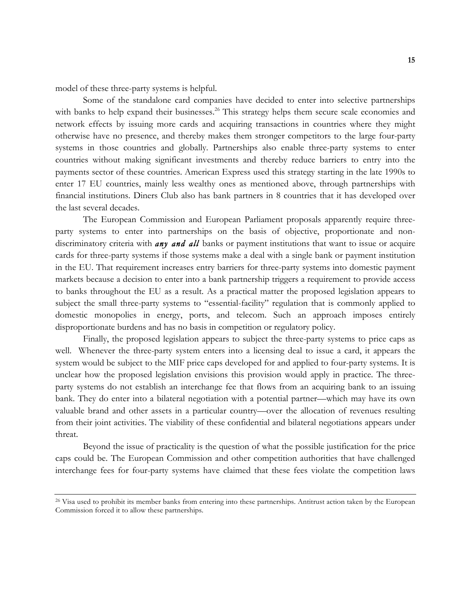model of these three-party systems is helpful.

Some of the standalone card companies have decided to enter into selective partnerships with banks to help expand their businesses.<sup>26</sup> This strategy helps them secure scale economies and network effects by issuing more cards and acquiring transactions in countries where they might otherwise have no presence, and thereby makes them stronger competitors to the large four-party systems in those countries and globally. Partnerships also enable three-party systems to enter countries without making significant investments and thereby reduce barriers to entry into the payments sector of these countries. American Express used this strategy starting in the late 1990s to enter 17 EU countries, mainly less wealthy ones as mentioned above, through partnerships with financial institutions. Diners Club also has bank partners in 8 countries that it has developed over the last several decades.

The European Commission and European Parliament proposals apparently require threeparty systems to enter into partnerships on the basis of objective, proportionate and nondiscriminatory criteria with **any and all** banks or payment institutions that want to issue or acquire cards for three-party systems if those systems make a deal with a single bank or payment institution in the EU. That requirement increases entry barriers for three-party systems into domestic payment markets because a decision to enter into a bank partnership triggers a requirement to provide access to banks throughout the EU as a result. As a practical matter the proposed legislation appears to subject the small three-party systems to "essential-facility" regulation that is commonly applied to domestic monopolies in energy, ports, and telecom. Such an approach imposes entirely disproportionate burdens and has no basis in competition or regulatory policy.

Finally, the proposed legislation appears to subject the three-party systems to price caps as well. Whenever the three-party system enters into a licensing deal to issue a card, it appears the system would be subject to the MIF price caps developed for and applied to four-party systems. It is unclear how the proposed legislation envisions this provision would apply in practice. The threeparty systems do not establish an interchange fee that flows from an acquiring bank to an issuing bank. They do enter into a bilateral negotiation with a potential partner—which may have its own valuable brand and other assets in a particular country—over the allocation of revenues resulting from their joint activities. The viability of these confidential and bilateral negotiations appears under threat.

Beyond the issue of practicality is the question of what the possible justification for the price caps could be. The European Commission and other competition authorities that have challenged interchange fees for four-party systems have claimed that these fees violate the competition laws

<sup>&</sup>lt;sup>26</sup> Visa used to prohibit its member banks from entering into these partnerships. Antitrust action taken by the European Commission forced it to allow these partnerships.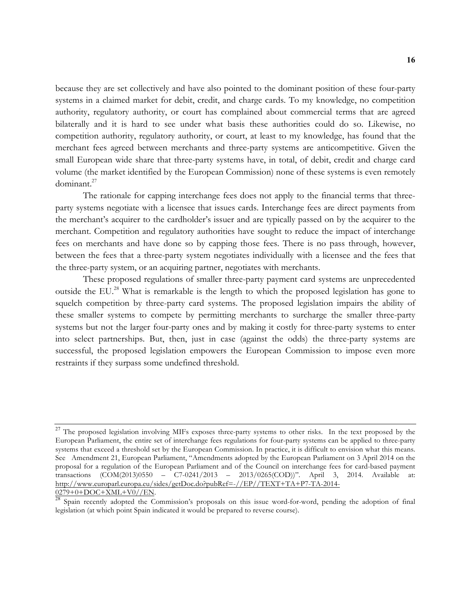because they are set collectively and have also pointed to the dominant position of these four-party systems in a claimed market for debit, credit, and charge cards. To my knowledge, no competition authority, regulatory authority, or court has complained about commercial terms that are agreed bilaterally and it is hard to see under what basis these authorities could do so. Likewise, no competition authority, regulatory authority, or court, at least to my knowledge, has found that the merchant fees agreed between merchants and three-party systems are anticompetitive. Given the small European wide share that three-party systems have, in total, of debit, credit and charge card volume (the market identified by the European Commission) none of these systems is even remotely dominant.27

The rationale for capping interchange fees does not apply to the financial terms that threeparty systems negotiate with a licensee that issues cards. Interchange fees are direct payments from the merchant's acquirer to the cardholder's issuer and are typically passed on by the acquirer to the merchant. Competition and regulatory authorities have sought to reduce the impact of interchange fees on merchants and have done so by capping those fees. There is no pass through, however, between the fees that a three-party system negotiates individually with a licensee and the fees that the three-party system, or an acquiring partner, negotiates with merchants.

These proposed regulations of smaller three-party payment card systems are unprecedented outside the EU.<sup>28</sup> What is remarkable is the length to which the proposed legislation has gone to squelch competition by three-party card systems. The proposed legislation impairs the ability of these smaller systems to compete by permitting merchants to surcharge the smaller three-party systems but not the larger four-party ones and by making it costly for three-party systems to enter into select partnerships. But, then, just in case (against the odds) the three-party systems are successful, the proposed legislation empowers the European Commission to impose even more restraints if they surpass some undefined threshold.

<sup>&</sup>lt;sup>27</sup> The proposed legislation involving MIFs exposes three-party systems to other risks. In the text proposed by the European Parliament, the entire set of interchange fees regulations for four-party systems can be applied to three-party systems that exceed a threshold set by the European Commission. In practice, it is difficult to envision what this means. See Amendment 21, European Parliament, "Amendments adopted by the European Parliament on 3 April 2014 on the proposal for a regulation of the European Parliament and of the Council on interchange fees for card-based payment transactions (COM(2013)0550 – C7-0241/2013 – 2013/0265(COD))". April 3, 2014. Available at: http://www.europarl.europa.eu/sides/getDoc.do?pubRef=-//EP//TEXT+TA+P7-TA-2014-0279+0+DOC+XML+V0//EN.

<sup>&</sup>lt;sup>28</sup> Spain recently adopted the Commission's proposals on this issue word-for-word, pending the adoption of final legislation (at which point Spain indicated it would be prepared to reverse course).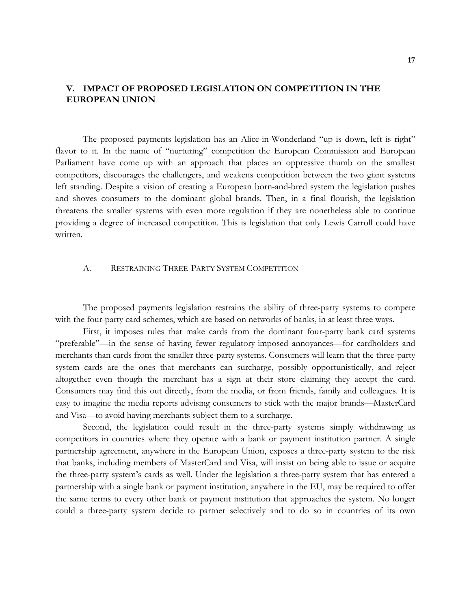# **V. IMPACT OF PROPOSED LEGISLATION ON COMPETITION IN THE EUROPEAN UNION**

The proposed payments legislation has an Alice-in-Wonderland "up is down, left is right" flavor to it. In the name of "nurturing" competition the European Commission and European Parliament have come up with an approach that places an oppressive thumb on the smallest competitors, discourages the challengers, and weakens competition between the two giant systems left standing. Despite a vision of creating a European born-and-bred system the legislation pushes and shoves consumers to the dominant global brands. Then, in a final flourish, the legislation threatens the smaller systems with even more regulation if they are nonetheless able to continue providing a degree of increased competition. This is legislation that only Lewis Carroll could have written.

### A. RESTRAINING THREE-PARTY SYSTEM COMPETITION

The proposed payments legislation restrains the ability of three-party systems to compete with the four-party card schemes, which are based on networks of banks, in at least three ways.

First, it imposes rules that make cards from the dominant four-party bank card systems "preferable"—in the sense of having fewer regulatory-imposed annoyances—for cardholders and merchants than cards from the smaller three-party systems. Consumers will learn that the three-party system cards are the ones that merchants can surcharge, possibly opportunistically, and reject altogether even though the merchant has a sign at their store claiming they accept the card. Consumers may find this out directly, from the media, or from friends, family and colleagues. It is easy to imagine the media reports advising consumers to stick with the major brands—MasterCard and Visa—to avoid having merchants subject them to a surcharge.

Second, the legislation could result in the three-party systems simply withdrawing as competitors in countries where they operate with a bank or payment institution partner. A single partnership agreement, anywhere in the European Union, exposes a three-party system to the risk that banks, including members of MasterCard and Visa, will insist on being able to issue or acquire the three-party system's cards as well. Under the legislation a three-party system that has entered a partnership with a single bank or payment institution, anywhere in the EU, may be required to offer the same terms to every other bank or payment institution that approaches the system. No longer could a three-party system decide to partner selectively and to do so in countries of its own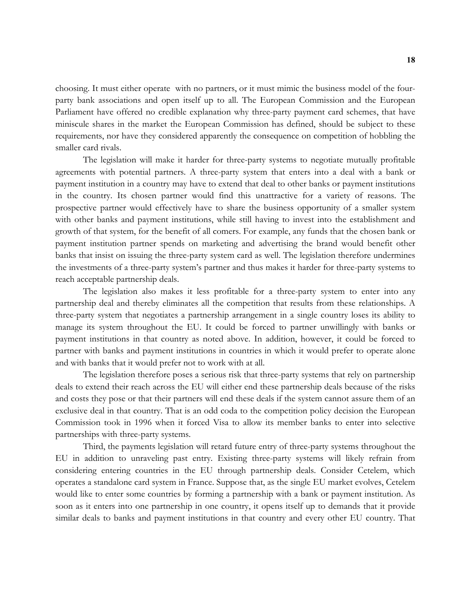choosing. It must either operate with no partners, or it must mimic the business model of the fourparty bank associations and open itself up to all. The European Commission and the European Parliament have offered no credible explanation why three-party payment card schemes, that have miniscule shares in the market the European Commission has defined, should be subject to these requirements, nor have they considered apparently the consequence on competition of hobbling the smaller card rivals.

The legislation will make it harder for three-party systems to negotiate mutually profitable agreements with potential partners. A three-party system that enters into a deal with a bank or payment institution in a country may have to extend that deal to other banks or payment institutions in the country. Its chosen partner would find this unattractive for a variety of reasons. The prospective partner would effectively have to share the business opportunity of a smaller system with other banks and payment institutions, while still having to invest into the establishment and growth of that system, for the benefit of all comers. For example, any funds that the chosen bank or payment institution partner spends on marketing and advertising the brand would benefit other banks that insist on issuing the three-party system card as well. The legislation therefore undermines the investments of a three-party system's partner and thus makes it harder for three-party systems to reach acceptable partnership deals.

The legislation also makes it less profitable for a three-party system to enter into any partnership deal and thereby eliminates all the competition that results from these relationships. A three-party system that negotiates a partnership arrangement in a single country loses its ability to manage its system throughout the EU. It could be forced to partner unwillingly with banks or payment institutions in that country as noted above. In addition, however, it could be forced to partner with banks and payment institutions in countries in which it would prefer to operate alone and with banks that it would prefer not to work with at all.

The legislation therefore poses a serious risk that three-party systems that rely on partnership deals to extend their reach across the EU will either end these partnership deals because of the risks and costs they pose or that their partners will end these deals if the system cannot assure them of an exclusive deal in that country. That is an odd coda to the competition policy decision the European Commission took in 1996 when it forced Visa to allow its member banks to enter into selective partnerships with three-party systems.

Third, the payments legislation will retard future entry of three-party systems throughout the EU in addition to unraveling past entry. Existing three-party systems will likely refrain from considering entering countries in the EU through partnership deals. Consider Cetelem, which operates a standalone card system in France. Suppose that, as the single EU market evolves, Cetelem would like to enter some countries by forming a partnership with a bank or payment institution. As soon as it enters into one partnership in one country, it opens itself up to demands that it provide similar deals to banks and payment institutions in that country and every other EU country. That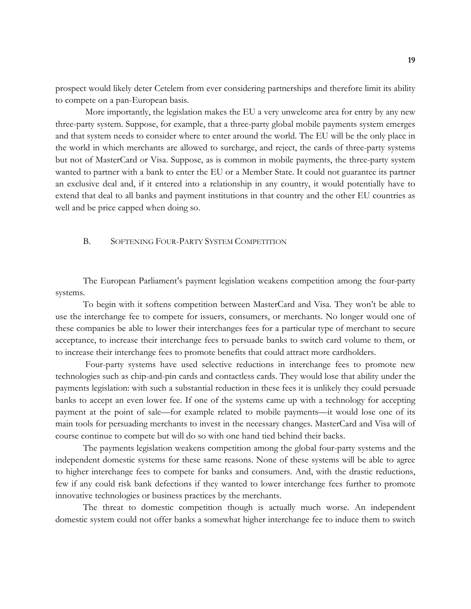prospect would likely deter Cetelem from ever considering partnerships and therefore limit its ability to compete on a pan-European basis.

More importantly, the legislation makes the EU a very unwelcome area for entry by any new three-party system. Suppose, for example, that a three-party global mobile payments system emerges and that system needs to consider where to enter around the world. The EU will be the only place in the world in which merchants are allowed to surcharge, and reject, the cards of three-party systems but not of MasterCard or Visa. Suppose, as is common in mobile payments, the three-party system wanted to partner with a bank to enter the EU or a Member State. It could not guarantee its partner an exclusive deal and, if it entered into a relationship in any country, it would potentially have to extend that deal to all banks and payment institutions in that country and the other EU countries as well and be price capped when doing so.

## B. SOFTENING FOUR-PARTY SYSTEM COMPETITION

The European Parliament's payment legislation weakens competition among the four-party systems.

To begin with it softens competition between MasterCard and Visa. They won't be able to use the interchange fee to compete for issuers, consumers, or merchants. No longer would one of these companies be able to lower their interchanges fees for a particular type of merchant to secure acceptance, to increase their interchange fees to persuade banks to switch card volume to them, or to increase their interchange fees to promote benefits that could attract more cardholders.

Four-party systems have used selective reductions in interchange fees to promote new technologies such as chip-and-pin cards and contactless cards. They would lose that ability under the payments legislation: with such a substantial reduction in these fees it is unlikely they could persuade banks to accept an even lower fee. If one of the systems came up with a technology for accepting payment at the point of sale—for example related to mobile payments—it would lose one of its main tools for persuading merchants to invest in the necessary changes. MasterCard and Visa will of course continue to compete but will do so with one hand tied behind their backs.

The payments legislation weakens competition among the global four-party systems and the independent domestic systems for these same reasons. None of these systems will be able to agree to higher interchange fees to compete for banks and consumers. And, with the drastic reductions, few if any could risk bank defections if they wanted to lower interchange fees further to promote innovative technologies or business practices by the merchants.

The threat to domestic competition though is actually much worse. An independent domestic system could not offer banks a somewhat higher interchange fee to induce them to switch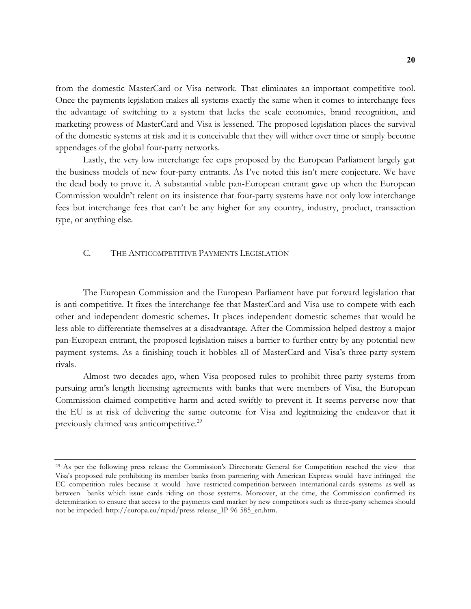from the domestic MasterCard or Visa network. That eliminates an important competitive tool. Once the payments legislation makes all systems exactly the same when it comes to interchange fees the advantage of switching to a system that lacks the scale economies, brand recognition, and marketing prowess of MasterCard and Visa is lessened. The proposed legislation places the survival of the domestic systems at risk and it is conceivable that they will wither over time or simply become appendages of the global four-party networks.

Lastly, the very low interchange fee caps proposed by the European Parliament largely gut the business models of new four-party entrants. As I've noted this isn't mere conjecture. We have the dead body to prove it. A substantial viable pan-European entrant gave up when the European Commission wouldn't relent on its insistence that four-party systems have not only low interchange fees but interchange fees that can't be any higher for any country, industry, product, transaction type, or anything else.

## C. THE ANTICOMPETITIVE PAYMENTS LEGISLATION

The European Commission and the European Parliament have put forward legislation that is anti-competitive. It fixes the interchange fee that MasterCard and Visa use to compete with each other and independent domestic schemes. It places independent domestic schemes that would be less able to differentiate themselves at a disadvantage. After the Commission helped destroy a major pan-European entrant, the proposed legislation raises a barrier to further entry by any potential new payment systems. As a finishing touch it hobbles all of MasterCard and Visa's three-party system rivals.

Almost two decades ago, when Visa proposed rules to prohibit three-party systems from pursuing arm's length licensing agreements with banks that were members of Visa, the European Commission claimed competitive harm and acted swiftly to prevent it. It seems perverse now that the EU is at risk of delivering the same outcome for Visa and legitimizing the endeavor that it previously claimed was anticompetitive.<sup>29</sup>

<sup>&</sup>lt;sup>29</sup> As per the following press release the Commission's Directorate General for Competition reached the view that Visa's proposed rule prohibiting its member banks from partnering with American Express would have infringed the EC competition rules because it would have restricted competition between international cards systems as well as between banks which issue cards riding on those systems. Moreover, at the time, the Commission confirmed its determination to ensure that access to the payments card market by new competitors such as three-party schemes should not be impeded. http://europa.eu/rapid/press-release\_IP-96-585\_en.htm.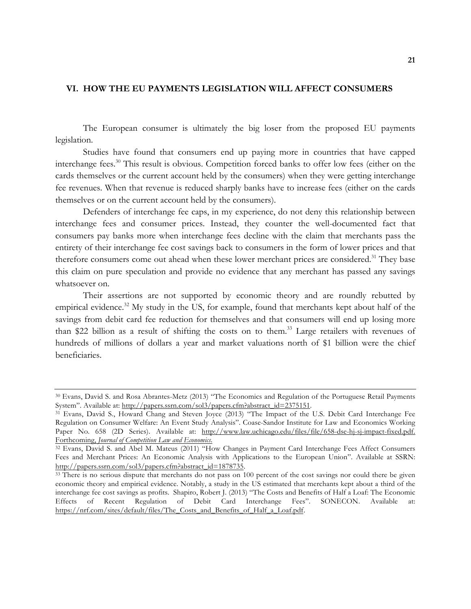# **VI. HOW THE EU PAYMENTS LEGISLATION WILL AFFECT CONSUMERS**

The European consumer is ultimately the big loser from the proposed EU payments legislation.

Studies have found that consumers end up paying more in countries that have capped interchange fees.<sup>30</sup> This result is obvious. Competition forced banks to offer low fees (either on the cards themselves or the current account held by the consumers) when they were getting interchange fee revenues. When that revenue is reduced sharply banks have to increase fees (either on the cards themselves or on the current account held by the consumers).

Defenders of interchange fee caps, in my experience, do not deny this relationship between interchange fees and consumer prices. Instead, they counter the well-documented fact that consumers pay banks more when interchange fees decline with the claim that merchants pass the entirety of their interchange fee cost savings back to consumers in the form of lower prices and that therefore consumers come out ahead when these lower merchant prices are considered.<sup>31</sup> They base this claim on pure speculation and provide no evidence that any merchant has passed any savings whatsoever on.

Their assertions are not supported by economic theory and are roundly rebutted by empirical evidence.<sup>32</sup> My study in the US, for example, found that merchants kept about half of the savings from debit card fee reduction for themselves and that consumers will end up losing more than \$22 billion as a result of shifting the costs on to them.<sup>33</sup> Large retailers with revenues of hundreds of millions of dollars a year and market valuations north of \$1 billion were the chief beneficiaries.

<sup>30</sup> Evans, David S. and Rosa Abrantes-Metz (2013) "The Economics and Regulation of the Portuguese Retail Payments System". Available at: http://papers.ssrn.com/sol3/papers.cfm?abstract\_id=2375151.<br><sup>31</sup> Evans, David S., Howard Chang and Steven Joyce (2013) "The Impact of the U.S. Debit Card Interchange Fee

Regulation on Consumer Welfare: An Event Study Analysis". Coase-Sandor Institute for Law and Economics Working Paper No. 658 (2D Series). Available at: http://www.law.uchicago.edu/files/file/658-dse-hj-sj-impact-fixed.pdf. Forthcoming, *Journal of Competition Law and Economics*.

<sup>32</sup> Evans, David S. and Abel M. Mateus (2011) "How Changes in Payment Card Interchange Fees Affect Consumers Fees and Merchant Prices: An Economic Analysis with Applications to the European Union". Available at SSRN: http://papers.ssrn.com/sol3/papers.cfm?abstract\_id=1878735.

<sup>&</sup>lt;sup>33</sup> There is no serious dispute that merchants do not pass on 100 percent of the cost savings nor could there be given economic theory and empirical evidence. Notably, a study in the US estimated that merchants kept about a third of the interchange fee cost savings as profits. Shapiro, Robert J. (2013) "The Costs and Benefits of Half a Loaf: The Economic Effects of Recent Regulation of Debit Card Interchange Fees". SONECON. Available https://nrf.com/sites/default/files/The\_Costs\_and\_Benefits\_of\_Half\_a\_Loaf.pdf.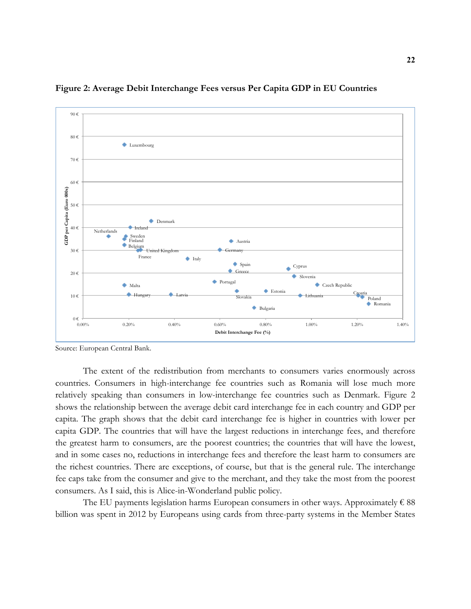

**Figure 2: Average Debit Interchange Fees versus Per Capita GDP in EU Countries**

The extent of the redistribution from merchants to consumers varies enormously across countries. Consumers in high-interchange fee countries such as Romania will lose much more relatively speaking than consumers in low-interchange fee countries such as Denmark. Figure 2 shows the relationship between the average debit card interchange fee in each country and GDP per capita. The graph shows that the debit card interchange fee is higher in countries with lower per capita GDP. The countries that will have the largest reductions in interchange fees, and therefore the greatest harm to consumers, are the poorest countries; the countries that will have the lowest, and in some cases no, reductions in interchange fees and therefore the least harm to consumers are the richest countries. There are exceptions, of course, but that is the general rule. The interchange fee caps take from the consumer and give to the merchant, and they take the most from the poorest consumers. As I said, this is Alice-in-Wonderland public policy.

The EU payments legislation harms European consumers in other ways. Approximately  $\epsilon$  88 billion was spent in 2012 by Europeans using cards from three-party systems in the Member States

Source: European Central Bank.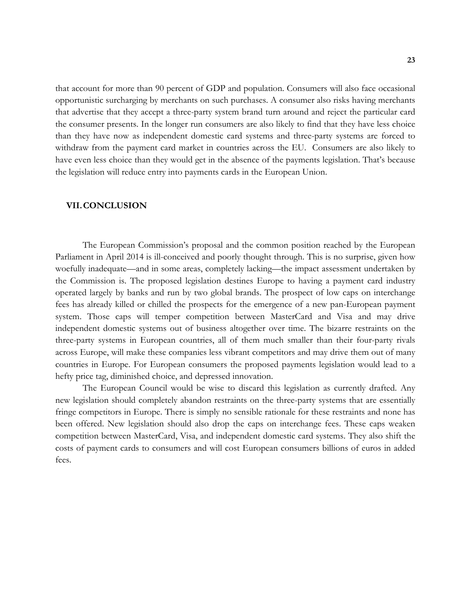that account for more than 90 percent of GDP and population. Consumers will also face occasional opportunistic surcharging by merchants on such purchases. A consumer also risks having merchants that advertise that they accept a three-party system brand turn around and reject the particular card the consumer presents. In the longer run consumers are also likely to find that they have less choice than they have now as independent domestic card systems and three-party systems are forced to withdraw from the payment card market in countries across the EU. Consumers are also likely to have even less choice than they would get in the absence of the payments legislation. That's because the legislation will reduce entry into payments cards in the European Union.

#### **VII.CONCLUSION**

The European Commission's proposal and the common position reached by the European Parliament in April 2014 is ill-conceived and poorly thought through. This is no surprise, given how woefully inadequate—and in some areas, completely lacking—the impact assessment undertaken by the Commission is. The proposed legislation destines Europe to having a payment card industry operated largely by banks and run by two global brands. The prospect of low caps on interchange fees has already killed or chilled the prospects for the emergence of a new pan-European payment system. Those caps will temper competition between MasterCard and Visa and may drive independent domestic systems out of business altogether over time. The bizarre restraints on the three-party systems in European countries, all of them much smaller than their four-party rivals across Europe, will make these companies less vibrant competitors and may drive them out of many countries in Europe. For European consumers the proposed payments legislation would lead to a hefty price tag, diminished choice, and depressed innovation.

The European Council would be wise to discard this legislation as currently drafted. Any new legislation should completely abandon restraints on the three-party systems that are essentially fringe competitors in Europe. There is simply no sensible rationale for these restraints and none has been offered. New legislation should also drop the caps on interchange fees. These caps weaken competition between MasterCard, Visa, and independent domestic card systems. They also shift the costs of payment cards to consumers and will cost European consumers billions of euros in added fees.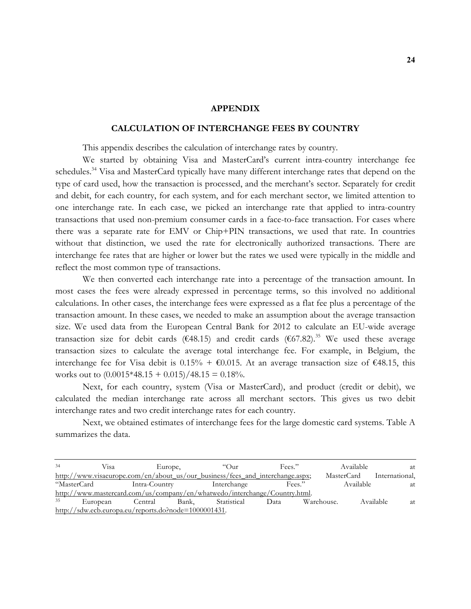### **APPENDIX**

## **CALCULATION OF INTERCHANGE FEES BY COUNTRY**

This appendix describes the calculation of interchange rates by country.

We started by obtaining Visa and MasterCard's current intra-country interchange fee schedules.<sup>34</sup> Visa and MasterCard typically have many different interchange rates that depend on the type of card used, how the transaction is processed, and the merchant's sector. Separately for credit and debit, for each country, for each system, and for each merchant sector, we limited attention to one interchange rate. In each case, we picked an interchange rate that applied to intra-country transactions that used non-premium consumer cards in a face-to-face transaction. For cases where there was a separate rate for EMV or Chip+PIN transactions, we used that rate. In countries without that distinction, we used the rate for electronically authorized transactions. There are interchange fee rates that are higher or lower but the rates we used were typically in the middle and reflect the most common type of transactions.

We then converted each interchange rate into a percentage of the transaction amount. In most cases the fees were already expressed in percentage terms, so this involved no additional calculations. In other cases, the interchange fees were expressed as a flat fee plus a percentage of the transaction amount. In these cases, we needed to make an assumption about the average transaction size. We used data from the European Central Bank for 2012 to calculate an EU-wide average transaction size for debit cards ( $\epsilon$ 48.15) and credit cards ( $\epsilon$ 67.82).<sup>35</sup> We used these average transaction sizes to calculate the average total interchange fee. For example, in Belgium, the interchange fee for Visa debit is 0.15% +  $\epsilon$ 0.015. At an average transaction size of  $\epsilon$ 48.15, this works out to  $(0.0015*48.15 + 0.015)/48.15 = 0.18%$ .

Next, for each country, system (Visa or MasterCard), and product (credit or debit), we calculated the median interchange rate across all merchant sectors. This gives us two debit interchange rates and two credit interchange rates for each country.

Next, we obtained estimates of interchange fees for the large domestic card systems. Table A summarizes the data.

<sup>34</sup> Visa Europe, "Our Fees." Available at http://www.visaeurope.com/en/about\_us/our\_business/fees\_and\_interchange.aspx; MasterCard International, "MasterCard Intra-Country Interchange Fees." Available at http://www.mastercard.com/us/company/en/whatwedo/interchange/Country.html. 35 European Central Bank, Statistical Data Warehouse. Available at http://sdw.ecb.europa.eu/reports.do?node=1000001431.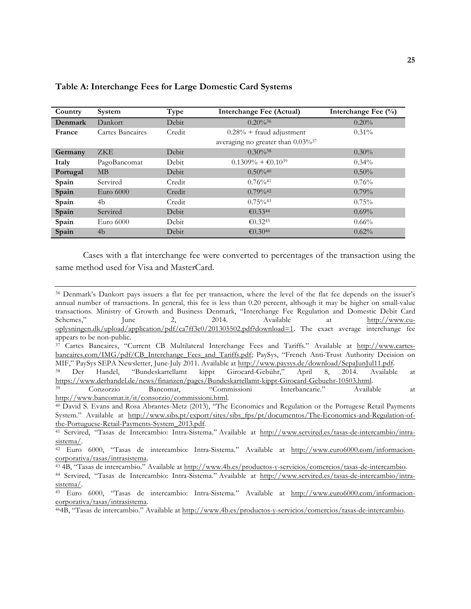| Country  | System           | Type   | Interchange Fee (Actual)                         | Interchange Fee $(\%)$ |
|----------|------------------|--------|--------------------------------------------------|------------------------|
| Denmark  | Dankort          | Debit  | $0.20\%^{36}$                                    | $0.20\%$               |
| France   | Cartes Bancaires | Credit | $0.28\%$ + fraud adjustment                      | $0.31\%$               |
|          |                  |        | averaging no greater than $0.03\%$ <sup>37</sup> |                        |
| Germany  | <b>ZKE</b>       | Debit  | $0.30\%^{38}$                                    | $0.30\%$               |
| Italy    | PagoBancomat     | Debit  | $0.1309\% + \text{\textsterling}0.1039$          | $0.34\%$               |
| Portugal | MB               | Debit  | $0.50\%$ <sup>40</sup>                           | $0.50\%$               |
| Spain    | Servired         | Credit | $0.76\%$ <sup>41</sup>                           | 0.76%                  |
| Spain    | Euro $6000$      | Credit | $0.79\%$ <sup>42</sup>                           | $0.79\%$               |
| Spain    | 4b               | Credit | $0.75\%$ <sup>43</sup>                           | 0.75%                  |
| Spain    | Servired         | Debit  | € $0.3344$                                       | $0.69\%$               |
| Spain    | Euro $6000$      | Debit  | €0.32 <sup>45</sup>                              | $0.66\%$               |
| Spain    | 4b               | Debit  | € $0.3046$                                       | 0.62%                  |

## **Table A: Interchange Fees for Large Domestic Card Systems**

Cases with a flat interchange fee were converted to percentages of the transaction using the same method used for Visa and MasterCard.

<sup>36</sup> Denmark's Dankort pays issuers a flat fee per transaction, where the level of the flat fee depends on the issuer's annual number of transactions. In general, this fee is less than 0.20 percent, although it may be higher on small-value transactions. Ministry of Growth and Business Denmark, "Interchange Fee Regulation and Domestic Debit Card Schemes," June 2, 2014. Available at http://www.eu-June 2, 2014. Available at http://www.euoplysningen.dk/upload/application/pdf/ca7ff3c0/201305502.pdf?download=1. The exact average interchange fee appears to be non-public.

<sup>&</sup>lt;sup>37</sup> Cartes Bancaires, "Current CB Multilateral Interchange Fees and Tariffs." Available at http://www.cartesbancaires.com/IMG/pdf/CB\_Interchange\_Fees\_and\_Tariffs.pdf; PaySys, "French Anti-Trust Authority Decision on

MIF," PaySys SEPA Newsletter, June-July 2011. Available at http://www.paysys.de/download/SepaJunJul11.pdf.<br><sup>38</sup> Der Handel, "Bundeskartellamt kippt Girocard-Gebühr," April 8, 2014. Available at https://www.derhandel.de/news/finanzen/pages/Bundeskartellamt-kippt-Girocard-Gebuehr-10503.html.

<sup>39</sup> Conzorzio Bancomat, "Commissioni Interbancarie." Available at http://www.bancomat.it/it/consorzio/commissioni.html. 40 David S. Evans and Rosa Abrantes-Metz (2013), "The Economics and Regulation or the Portugese Retail Payments

System." Available at http://www.sibs.pt/export/sites/sibs\_fps/pt/documentos/The-Economics-and-Regulation-of-

the-Portuguese-Retail-Payments-System\_2013.pdf.<br><sup>41</sup> Servired, "Tasas de Intercambio: Intra-Sistema." Available at http://www.servired.es/tasas-de-intercambio/intra-

sistema/.<br><sup>42</sup> Euro 6000, "Tasas de intercambio: Intra-Sistema." Available at <u>http://www.euro6000.com/informacion-</u><br>corporativa/tasas/intrasistema.

<sup>&</sup>lt;sup>43</sup> 4B, "Tasas de intercambio." Available at http://www.4b.es/productos-y-servicios/comercios/tasas-de-intercambio.<br><sup>44</sup> Servired, "Tasas de Intercambio: Intra-Sistema." Available at http://www.servired.es/tasas-de-interc

sistema/.

<sup>45</sup> Euro 6000, "Tasas de intercambio: Intra-Sistema." Available at http://www.euro6000.com/informacioncorporativa/tasas/intrasistema.

<sup>464</sup>B, "Tasas de intercambio." Available at http://www.4b.es/productos-y-servicios/comercios/tasas-de-intercambio.